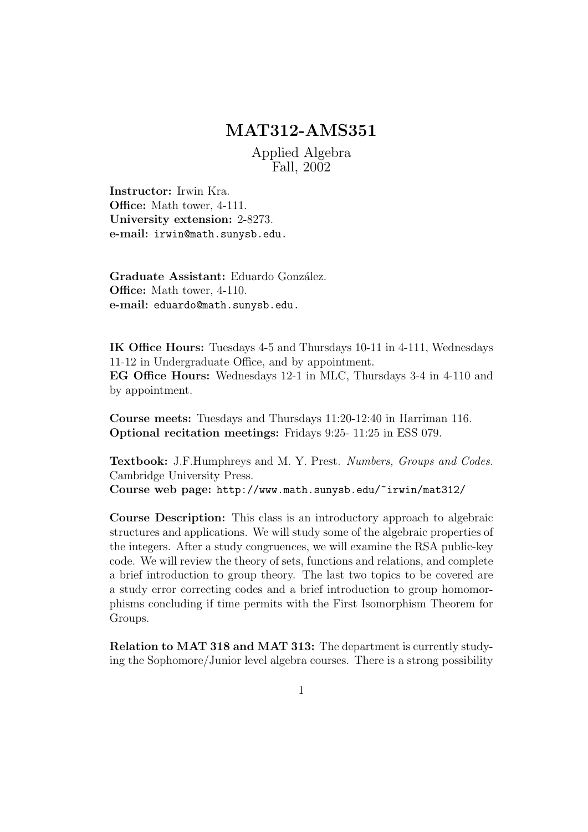## MAT312-AMS351

Applied Algebra Fall, 2002

Instructor: Irwin Kra. Office: Math tower, 4-111. University extension: 2-8273. e-mail: irwin@math.sunysb.edu.

Graduate Assistant: Eduardo González. Office: Math tower, 4-110. e-mail: eduardo@math.sunysb.edu.

IK Office Hours: Tuesdays 4-5 and Thursdays 10-11 in 4-111, Wednesdays 11-12 in Undergraduate Office, and by appointment. EG Office Hours: Wednesdays 12-1 in MLC, Thursdays 3-4 in 4-110 and by appointment.

Course meets: Tuesdays and Thursdays 11:20-12:40 in Harriman 116. Optional recitation meetings: Fridays 9:25- 11:25 in ESS 079.

Textbook: J.F.Humphreys and M. Y. Prest. Numbers, Groups and Codes. Cambridge University Press. Course web page: http://www.math.sunysb.edu/~irwin/mat312/

Course Description: This class is an introductory approach to algebraic structures and applications. We will study some of the algebraic properties of the integers. After a study congruences, we will examine the RSA public-key code. We will review the theory of sets, functions and relations, and complete a brief introduction to group theory. The last two topics to be covered are a study error correcting codes and a brief introduction to group homomorphisms concluding if time permits with the First Isomorphism Theorem for Groups.

Relation to MAT 318 and MAT 313: The department is currently studying the Sophomore/Junior level algebra courses. There is a strong possibility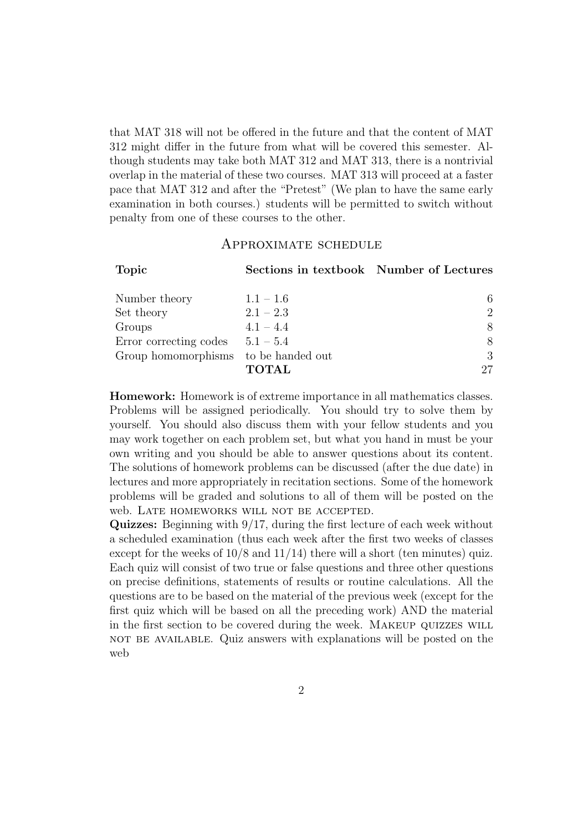that MAT 318 will not be offered in the future and that the content of MAT 312 might differ in the future from what will be covered this semester. Although students may take both MAT 312 and MAT 313, there is a nontrivial overlap in the material of these two courses. MAT 313 will proceed at a faster pace that MAT 312 and after the "Pretest" (We plan to have the same early examination in both courses.) students will be permitted to switch without penalty from one of these courses to the other.

## Approximate schedule

| <b>Topic</b>                         | Sections in textbook Number of Lectures |                             |
|--------------------------------------|-----------------------------------------|-----------------------------|
| Number theory                        | $1.1 - 1.6$                             | 6.                          |
| Set theory                           | $2.1 - 2.3$                             | $\mathcal{D}_{\mathcal{L}}$ |
| Groups                               | $4.1 - 4.4$                             | 8                           |
| Error correcting codes               | $5.1 - 5.4$                             | 8                           |
| Group homomorphisms to be handed out |                                         | 3                           |
|                                      | <b>TOTAL</b>                            | 27                          |

Homework: Homework is of extreme importance in all mathematics classes. Problems will be assigned periodically. You should try to solve them by yourself. You should also discuss them with your fellow students and you may work together on each problem set, but what you hand in must be your own writing and you should be able to answer questions about its content. The solutions of homework problems can be discussed (after the due date) in lectures and more appropriately in recitation sections. Some of the homework problems will be graded and solutions to all of them will be posted on the web. Late homeworks will not be accepted.

Quizzes: Beginning with 9/17, during the first lecture of each week without a scheduled examination (thus each week after the first two weeks of classes except for the weeks of  $10/8$  and  $11/14$ ) there will a short (ten minutes) quiz. Each quiz will consist of two true or false questions and three other questions on precise definitions, statements of results or routine calculations. All the questions are to be based on the material of the previous week (except for the first quiz which will be based on all the preceding work) AND the material in the first section to be covered during the week. Makeup quizzes will not be available. Quiz answers with explanations will be posted on the web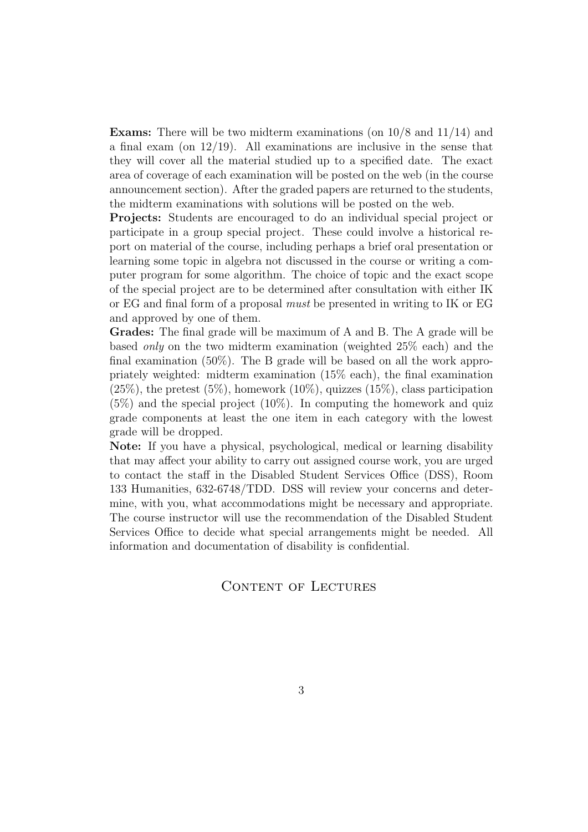**Exams:** There will be two midterm examinations (on  $10/8$  and  $11/14$ ) and a final exam (on  $12/19$ ). All examinations are inclusive in the sense that they will cover all the material studied up to a specified date. The exact area of coverage of each examination will be posted on the web (in the course announcement section). After the graded papers are returned to the students, the midterm examinations with solutions will be posted on the web.

Projects: Students are encouraged to do an individual special project or participate in a group special project. These could involve a historical report on material of the course, including perhaps a brief oral presentation or learning some topic in algebra not discussed in the course or writing a computer program for some algorithm. The choice of topic and the exact scope of the special project are to be determined after consultation with either IK or EG and final form of a proposal must be presented in writing to IK or EG and approved by one of them.

Grades: The final grade will be maximum of A and B. The A grade will be based only on the two midterm examination (weighted 25% each) and the final examination (50%). The B grade will be based on all the work appropriately weighted: midterm examination (15% each), the final examination  $(25\%)$ , the pretest  $(5\%)$ , homework  $(10\%)$ , quizzes  $(15\%)$ , class participation (5%) and the special project (10%). In computing the homework and quiz grade components at least the one item in each category with the lowest grade will be dropped.

Note: If you have a physical, psychological, medical or learning disability that may affect your ability to carry out assigned course work, you are urged to contact the staff in the Disabled Student Services Office (DSS), Room 133 Humanities, 632-6748/TDD. DSS will review your concerns and determine, with you, what accommodations might be necessary and appropriate. The course instructor will use the recommendation of the Disabled Student Services Office to decide what special arrangements might be needed. All information and documentation of disability is confidential.

## CONTENT OF LECTURES